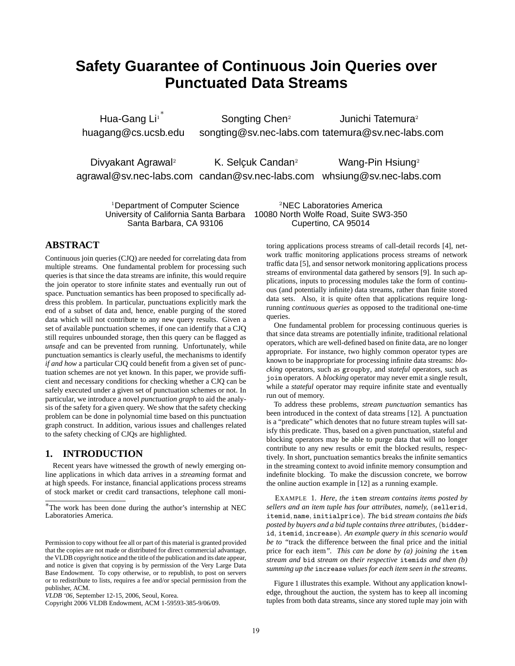# **Safety Guarantee of Continuous Join Queries over Punctuated Data Streams**

Hua-Gang Li $^{\mathrm{i}}$ huagang@cs.ucsb.edu Songting Chen<sup>2</sup> songting@sv.nec-labs.com tatemura@sv.nec-labs.com Junichi Tatemura<sup>2</sup>

Divyakant Agrawal<sup>2</sup> agrawal@sv.nec-labs.com candan@sv.nec-labs.com whsiung@sv.nec-labs.com K. Selçuk Candan<sup>2</sup> Wang-Pin Hsiung<sup>2</sup>

University of California Santa Barbara

<sup>1</sup>Department of Computer Science <sup>2</sup>NEC Laboratories America<br>niversity of California Santa Barbara 10080 North Wolfe Road, Suite SW3-350 Santa Barbara, CA 93106 Cupertino, CA 95014

# **ABSTRACT**

Continuous join queries (CJQ) are needed for correlating data from multiple streams. One fundamental problem for processing such queries is that since the data streams are infinite, this would require the join operator to store infinite states and eventually run out of space. Punctuation semantics has been proposed to specifically address this problem. In particular, punctuations explicitly mark the end of a subset of data and, hence, enable purging of the stored data which will not contribute to any new query results. Given a set of available punctuation schemes, if one can identify that a CJQ still requires unbounded storage, then this query can be flagged as *unsafe* and can be prevented from running. Unfortunately, while punctuation semantics is clearly useful, the mechanisms to identify *if and how* a particular CJQ could benefit from a given set of punctuation schemes are not yet known. In this paper, we provide sufficient and necessary conditions for checking whether a CJQ can be safely executed under a given set of punctuation schemes or not. In particular, we introduce a novel *punctuation graph* to aid the analysis of the safety for a given query. We show that the safety checking problem can be done in polynomial time based on this punctuation graph construct. In addition, various issues and challenges related to the safety checking of CJQs are highlighted.

# **1. INTRODUCTION**

Recent years have witnessed the growth of newly emerging online applications in which data arrives in a *streaming* format and at high speeds. For instance, financial applications process streams of stock market or credit card transactions, telephone call monitoring applications process streams of call-detail records [4], network traffic monitoring applications process streams of network traffic data [5], and sensor network monitoring applications process streams of environmental data gathered by sensors [9]. In such applications, inputs to processing modules take the form of continuous (and potentially infinite) data streams, rather than finite stored data sets. Also, it is quite often that applications require longrunning *continuous queries* as opposed to the traditional one-time queries.

One fundamental problem for processing continuous queries is that since data streams are potentially infinite, traditional relational operators, which are well-defined based on finite data, are no longer appropriate. For instance, two highly common operator types are known to be inappropriate for processing infinite data streams: *blocking* operators, such as groupby, and *stateful* operators, such as join operators. A *blocking* operator may never emit a single result, while a *stateful* operator may require infinite state and eventually run out of memory.

To address these problems, *stream punctuation* semantics has been introduced in the context of data streams [12]. A punctuation is a "predicate" which denotes that no future stream tuples will satisfy this predicate. Thus, based on a given punctuation, stateful and blocking operators may be able to purge data that will no longer contribute to any new results or emit the blocked results, respectively. In short, punctuation semantics breaks the infinite semantics in the streaming context to avoid infinite memory consumption and indefinite blocking. To make the discussion concrete, we borrow the online auction example in [12] as a running example.

EXAMPLE 1. *Here, the* item *stream contains items posted by sellers and an item tuple has four attributes, namely,* (sellerid, itemid, name, initialprice)*. The* bid *stream contains the bids posted by buyers and a bid tuple contains three attributes,* (bidderid, itemid, increase)*. An example query in this scenario would be to "*track the difference between the final price and the initial price for each item*". This can be done by (a) joining the* item *stream and* bid *stream on their respective* itemid*s and then (b) summing up the* increase *values for each item seen in the streams.*

Figure 1 illustrates this example. Without any application knowledge, throughout the auction, the system has to keep all incoming tuples from both data streams, since any stored tuple may join with

<sup>∗</sup>The work has been done during the author's internship at NEC Laboratories America.

Permission to copy without fee all or part of this material is granted provided that the copies are not made or distributed for direct commercial advantage, the VLDB copyright notice and the title of the publication and its date appear, and notice is given that copying is by permission of the Very Large Data Base Endowment. To copy otherwise, or to republish, to post on servers or to redistribute to lists, requires a fee and/or special permission from the publisher, ACM.

*VLDB '06,* September 12-15, 2006, Seoul, Korea.

Copyright 2006 VLDB Endowment, ACM 1-59593-385-9/06/09.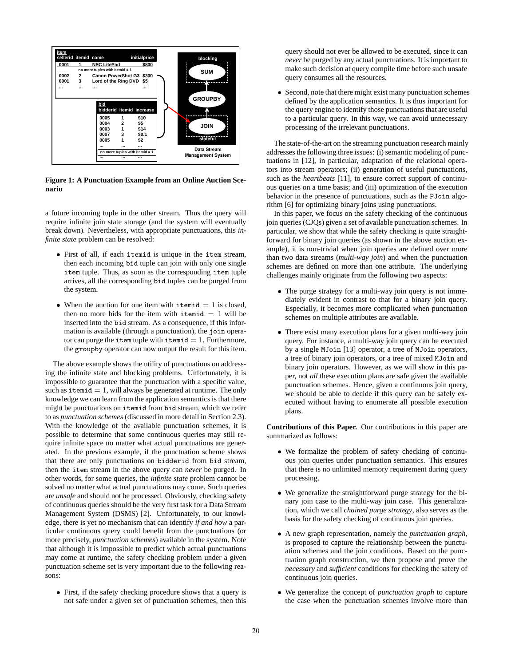

**Figure 1: A Punctuation Example from an Online Auction Scenario**

a future incoming tuple in the other stream. Thus the query will require infinite join state storage (and the system will eventually break down). Nevertheless, with appropriate punctuations, this *infinite state* problem can be resolved:

- First of all, if each itemid is unique in the item stream, then each incoming bid tuple can join with only one single item tuple. Thus, as soon as the corresponding item tuple arrives, all the corresponding bid tuples can be purged from the system.
- When the auction for one item with itemid  $= 1$  is closed, then no more bids for the item with itemid  $= 1$  will be inserted into the bid stream. As a consequence, if this information is available (through a punctuation), the join operator can purge the item tuple with itemid  $= 1$ . Furthermore, the groupby operator can now output the result for this item.

The above example shows the utility of punctuations on addressing the infinite state and blocking problems. Unfortunately, it is impossible to guarantee that the punctuation with a specific value, such as itemid  $= 1$ , will always be generated at runtime. The only knowledge we can learn from the application semantics is that there might be punctuations on itemid from bid stream, which we refer to as *punctuation schemes* (discussed in more detail in Section 2.3). With the knowledge of the available punctuation schemes, it is possible to determine that some continuous queries may still require infinite space no matter what actual punctuations are generated. In the previous example, if the punctuation scheme shows that there are only punctuations on bidderid from bid stream, then the item stream in the above query can *never* be purged. In other words, for some queries, the *infinite state* problem cannot be solved no matter what actual punctuations may come. Such queries are *unsafe* and should not be processed. Obviously, checking safety of continuous queries should be the very first task for a Data Stream Management System (DSMS) [2]. Unfortunately, to our knowledge, there is yet no mechanism that can identify *if and how* a particular continuous query could benefit from the punctuations (or more precisely, *punctuation schemes*) available in the system. Note that although it is impossible to predict which actual punctuations may come at runtime, the safety checking problem under a given punctuation scheme set is very important due to the following reasons:

• First, if the safety checking procedure shows that a query is not safe under a given set of punctuation schemes, then this

query should not ever be allowed to be executed, since it can *never* be purged by any actual punctuations. It is important to make such decision at query compile time before such unsafe query consumes all the resources.

• Second, note that there might exist many punctuation schemes defined by the application semantics. It is thus important for the query engine to identify those punctuations that are useful to a particular query. In this way, we can avoid unnecessary processing of the irrelevant punctuations.

The state-of-the-art on the streaming punctuation research mainly addresses the following three issues: (i) semantic modeling of punctuations in [12], in particular, adaptation of the relational operators into stream operators; (ii) generation of useful punctuations, such as the *heartbeats* [11], to ensure correct support of continuous queries on a time basis; and (iii) optimization of the execution behavior in the presence of punctuations, such as the PJoin algorithm [6] for optimizing binary joins using punctuations.

In this paper, we focus on the safety checking of the continuous join queries (CJQs) given a set of available punctuation schemes. In particular, we show that while the safety checking is quite straightforward for binary join queries (as shown in the above auction example), it is non-trivial when join queries are defined over more than two data streams (*multi-way join*) and when the punctuation schemes are defined on more than one attribute. The underlying challenges mainly originate from the following two aspects:

- The purge strategy for a multi-way join query is not immediately evident in contrast to that for a binary join query. Especially, it becomes more complicated when punctuation schemes on multiple attributes are available.
- There exist many execution plans for a given multi-way join query. For instance, a multi-way join query can be executed by a single MJoin [13] operator, a tree of MJoin operators, a tree of binary join operators, or a tree of mixed MJoin and binary join operators. However, as we will show in this paper, not *all* these execution plans are safe given the available punctuation schemes. Hence, given a continuous join query, we should be able to decide if this query can be safely executed without having to enumerate all possible execution plans.

**Contributions of this Paper.** Our contributions in this paper are summarized as follows:

- We formalize the problem of safety checking of continuous join queries under punctuation semantics. This ensures that there is no unlimited memory requirement during query processing.
- We generalize the straightforward purge strategy for the binary join case to the multi-way join case. This generalization, which we call *chained purge strategy*, also serves as the basis for the safety checking of continuous join queries.
- A new graph representation, namely the *punctuation graph*, is proposed to capture the relationship between the punctuation schemes and the join conditions. Based on the punctuation graph construction, we then propose and prove the *necessary* and *sufficient* conditions for checking the safety of continuous join queries.
- We generalize the concept of *punctuation graph* to capture the case when the punctuation schemes involve more than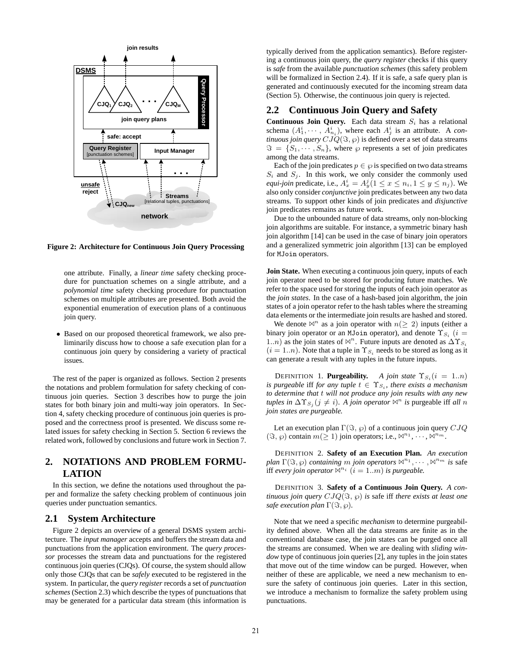

**Figure 2: Architecture for Continuous Join Query Processing**

one attribute. Finally, a *linear time* safety checking procedure for punctuation schemes on a single attribute, and a *polynomial time* safety checking procedure for punctuation schemes on multiple attributes are presented. Both avoid the exponential enumeration of execution plans of a continuous join query.

• Based on our proposed theoretical framework, we also preliminarily discuss how to choose a safe execution plan for a continuous join query by considering a variety of practical issues.

The rest of the paper is organized as follows. Section 2 presents the notations and problem formulation for safety checking of continuous join queries. Section 3 describes how to purge the join states for both binary join and multi-way join operators. In Section 4, safety checking procedure of continuous join queries is proposed and the correctness proof is presented. We discuss some related issues for safety checking in Section 5. Section 6 reviews the related work, followed by conclusions and future work in Section 7.

# **2. NOTATIONS AND PROBLEM FORMU-LATION**

In this section, we define the notations used throughout the paper and formalize the safety checking problem of continuous join queries under punctuation semantics.

## **2.1 System Architecture**

Figure 2 depicts an overview of a general DSMS system architecture. The *input manager* accepts and buffers the stream data and punctuations from the application environment. The *query processor* processes the stream data and punctuations for the registered continuous join queries (CJQs). Of course, the system should allow only those CJQs that can be *safely* executed to be registered in the system. In particular, the *query register* records a set of *punctuation schemes* (Section 2.3) which describe the types of punctuations that may be generated for a particular data stream (this information is typically derived from the application semantics). Before registering a continuous join query, the *query register* checks if this query is *safe* from the available *punctuation schemes* (this safety problem will be formalized in Section 2.4). If it is safe, a safe query plan is generated and continuously executed for the incoming stream data (Section 5). Otherwise, the continuous join query is rejected.

## **2.2 Continuous Join Query and Safety**

**Continuous Join Query.** Each data stream  $S_i$  has a relational schema  $(A_1^i, \dots, A_{n_i}^i)$ , where each  $A_j^i$  is an attribute. A *continuous join query*  $CIQ(\Im, \wp)$  is defined over a set of data streams  $\Im = \{S_1, \dots, S_n\}$ , where  $\wp$  represents a set of join predicates among the data streams.

Each of the join predicates  $p \in \wp$  is specified on two data streams  $S_i$  and  $S_j$ . In this work, we only consider the commonly used *equi-join* predicate, i.e.,  $A_x^i = A_y^j (1 \le x \le n_i, 1 \le y \le n_j)$ . We also only consider *conjunctive* join predicates between any two data streams. To support other kinds of join predicates and *disjunctive* join predicates remains as future work.

Due to the unbounded nature of data streams, only non-blocking join algorithms are suitable. For instance, a symmetric binary hash join algorithm [14] can be used in the case of binary join operators and a generalized symmetric join algorithm [13] can be employed for MJoin operators.

**Join State.** When executing a continuous join query, inputs of each join operator need to be stored for producing future matches. We refer to the space used for storing the inputs of each join operator as the *join states*. In the case of a hash-based join algorithm, the join states of a join operator refer to the hash tables where the streaming data elements or the intermediate join results are hashed and stored.

We denote  $\mathbb{M}^n$  as a join operator with  $n(\geq 2)$  inputs (either a binary join operator or an MJoin operator), and denote  $\Upsilon_{S_i}$  (i = 1..*n*) as the join states of  $\mathbb{X}^n$ . Future inputs are denoted as  $\Delta \Upsilon_{S_i}$  $(i = 1..n)$ . Note that a tuple in  $\Upsilon_{S_i}$  needs to be stored as long as it can generate a result with any tuples in the future inputs.

**DEFINITION 1. Purgeability.** *A join state*  $\Upsilon_{S_i}$  (i = 1.*n*) *is purgeable* iff *for any tuple*  $t \in \Upsilon_{S_i}$ *, there exists a mechanism to determine that* t *will not produce any join results with any new tuples in*  $\Delta \Upsilon_{S_i}$  ( $j \neq i$ ). A join operator  $\mathbb{A}^n$  is purgeable iff all n *join states are purgeable.*

Let an execution plan  $\Gamma(\Im, \wp)$  of a continuous join query  $CJQ$  $(\Im, \wp)$  contain  $m(\geq 1)$  join operators; i.e.,  $\mathbb{A}^{n_1}, \cdots, \mathbb{A}^{n_m}$ .

DEFINITION 2. **Safety of an Execution Plan.** *An execution plan*  $\Gamma(\Im, \varnothing)$  *containing* m *join operators*  $\mathbb{N}^{n_1}, \cdots, \mathbb{N}^{n_m}$  *is safe* iff *every join operator*  $\mathbb{M}^{n_i}$   $(i = 1..m)$  *is purgeable.* 

DEFINITION 3. **Safety of a Continuous Join Query.** *A continuous join query*  $CJQ(\Im, \wp)$  *is safe iff there exists at least one safe execution plan*  $\Gamma(\Im, \wp)$ *.* 

Note that we need a specific *mechanism* to determine purgeability defined above. When all the data streams are finite as in the conventional database case, the join states can be purged once all the streams are consumed. When we are dealing with *sliding window* type of continuous join queries [2], any tuples in the join states that move out of the time window can be purged. However, when neither of these are applicable, we need a new mechanism to ensure the safety of continuous join queries. Later in this section, we introduce a mechanism to formalize the safety problem using punctuations.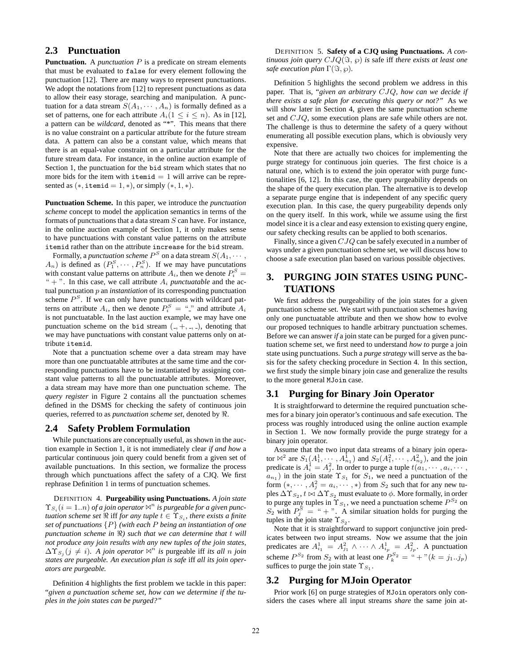# **2.3 Punctuation**

**Punctuation.** A *punctuation* P is a predicate on stream elements that must be evaluated to false for every element following the punctuation [12]. There are many ways to represent punctuations. We adopt the notations from [12] to represent punctuations as data to allow their easy storage, searching and manipulation. A punctuation for a data stream  $S(A_1, \dots, A_n)$  is formally defined as a set of patterns, one for each attribute  $A_i(1 \leq i \leq n)$ . As in [12], a pattern can be *wildcard*, denoted as "\*". This means that there is no value constraint on a particular attribute for the future stream data. A pattern can also be a constant value, which means that there is an equal-value constraint on a particular attribute for the future stream data. For instance, in the online auction example of Section 1, the punctuation for the bid stream which states that no more bids for the item with  $\text{itemid} = 1$  will arrive can be represented as  $(*$ , itemid = 1,  $*)$ , or simply  $(*, 1, *)$ .

**Punctuation Scheme.** In this paper, we introduce the *punctuation scheme* concept to model the application semantics in terms of the formats of punctuations that a data stream  $S$  can have. For instance, in the online auction example of Section 1, it only makes sense to have punctuations with constant value patterns on the attribute itemid rather than on the attribute increase for the bid stream.

Formally, a *punctuation scheme*  $P^S$  on a data stream  $S(A_1, \dots, A_n)$  $(A_n)$  is defined as  $(P_1^S, \dots, P_n^S)$ . If we may have puncutations with constant value patterns on attribute  $A_i$ , then we denote  $P_i^S$  =  $" +"$ . In this case, we call attribute  $A_i$  *punctuatable* and the actual punctuation p an *instantiation* of its corresponding punctuation scheme  $P<sup>S</sup>$ . If we can only have punctuations with wildcard patterns on attribute  $A_i$ , then we denote  $P_i^S = \cdots$  and attribute  $A_i$ is not punctuatable. In the last auction example, we may have one punctuation scheme on the bid stream  $($ ,  $+$ ,  $-$ ,  $-$ ), denoting that we may have punctuations with constant value patterns only on attribute itemid.

Note that a punctuation scheme over a data stream may have more than one punctuatable attributes at the same time and the corresponding punctuations have to be instantiated by assigning constant value patterns to all the punctuatable attributes. Moreover, a data stream may have more than one punctuation scheme. The *query register* in Figure 2 contains all the punctuation schemes defined in the DSMS for checking the safety of continuous join queries, referred to as *punctuation scheme set*, denoted by .

#### **2.4 Safety Problem Formulation**

While punctuations are conceptually useful, as shown in the auction example in Section 1, it is not immediately clear *if and how* a particular continuous join query could benefit from a given set of available punctuations. In this section, we formalize the process through which punctuations affect the safety of a CJQ. We first rephrase Definition 1 in terms of punctuation schemes.

DEFINITION 4. **Purgeability using Punctuations.** *A join state*  $\Upsilon_{S_i}$  (*i* = 1..*n*) *of a join operator*  $\mathbb{A}^n$  *is purgeable for a given punctuation scheme set*  $\Re$  *iff for any tuple*  $t \in \Upsilon_{S_i}$ *, there exists a finite set of punctuations* {P} *(with each* P *being an instantiation of one punctuation scheme in ) such that we can determine that* t *will not produce any join results with any new tuples of the join states,*  $\Delta \Upsilon_{S_i}$  ( $j \neq i$ ). A *join operator*  $\mathbb{A}^n$  *is* purgeable iff *its all n join states are purgeable. An execution plan is safe* iff *all its join operators are purgeable.*

Definition 4 highlights the first problem we tackle in this paper: "*given a punctuation scheme set, how can we determine if the tuples in the join states can be purged?"*

DEFINITION 5. **Safety of a CJQ using Punctuations.** *A continuous join query*  $CJQ(\Im, \wp)$  *is safe iff there exists at least one safe execution plan*  $\Gamma(\Im, \wp)$ *.* 

Definition 5 highlights the second problem we address in this paper. That is, "*given an arbitrary* CJQ*, how can we decide if there exists a safe plan for executing this query or not?"* As we will show later in Section 4, given the same punctuation scheme set and CJQ, some execution plans are safe while others are not. The challenge is thus to determine the safety of a query without enumerating all possible execution plans, which is obviously very expensive.

Note that there are actually two choices for implementing the purge strategy for continuous join queries. The first choice is a natural one, which is to extend the join operator with purge functionalities [6, 12]. In this case, the query purgeability depends on the shape of the query execution plan. The alternative is to develop a separate purge engine that is independent of any specific query execution plan. In this case, the query purgeability depends only on the query itself. In this work, while we assume using the first model since it is a clear and easy extension to existing query engine, our safety checking results can be applied to both scenarios.

Finally, since a given CJQ can be safely executed in a number of ways under a given punctuation scheme set, we will discuss how to choose a safe execution plan based on various possible objectives.

# **3. PURGING JOIN STATES USING PUNC-TUATIONS**

We first address the purgeability of the join states for a given punctuation scheme set. We start with punctuation schemes having only one punctuatable attribute and then we show how to evolve our proposed techniques to handle arbitrary punctuation schemes. Before we can answer *if* a join state can be purged for a given punctuation scheme set, we first need to understand *how to* purge a join state using punctuations. Such a *purge strategy* will serve as the basis for the safety checking procedure in Section 4. In this section, we first study the simple binary join case and generalize the results to the more general MJoin case.

#### **3.1 Purging for Binary Join Operator**

It is straightforward to determine the required punctuation schemes for a binary join operator's continuous and safe execution. The process was roughly introduced using the online auction example in Section 1. We now formally provide the purge strategy for a binary join operator.

Assume that the two input data streams of a binary join operator  $\mathbb{N}^2$  are  $S_1(A_1^1, \dots, A_{n_1}^1)$  and  $S_2(A_1^2, \dots, A_{n_2}^2)$ , and the join predicate is  $A_i^1 = A_j^2$ . In order to purge a tuple  $t(a_1, \dots, a_i, \dots, a_k)$  $a_{n_1}$ ) in the join state  $\Upsilon_{S_1}$  for  $S_1$ , we need a punctuation of the form  $(*, \dots, A_j^2 = a_i, \dots, *)$  from  $S_2$  such that for any new tuples  $\Delta \Upsilon_{S_2}$ ,  $t \bowtie \Delta \Upsilon_{S_2}$  must evaluate to  $\phi$ . More formally, in order to purge any tuples in  $\Upsilon_{S_1}$ , we need a punctuation scheme  $P^{S_2}$  on  $S_2$  with  $P_j^S = " +".$  A similar situation holds for purging the tuples in the join state  $\Upsilon_{S_2}$ .

Note that it is straightforward to support conjunctive join predicates between two input streams. Now we assume that the join predicates are  $A_{i_1}^1 = A_{j_1}^2 \wedge \cdots \wedge A_{i_p}^1 = A_{j_p}^2$ . A punctuation scheme  $P^{S_2}$  from  $S_2$  with at least one  $P_k^{S_2} = " + "(k = j_1..j_p)$ suffices to purge the join state  $\Upsilon_{S_1}$ .

## **3.2 Purging for MJoin Operator**

Prior work [6] on purge strategies of MJoin operators only considers the cases where all input streams *share* the same join at-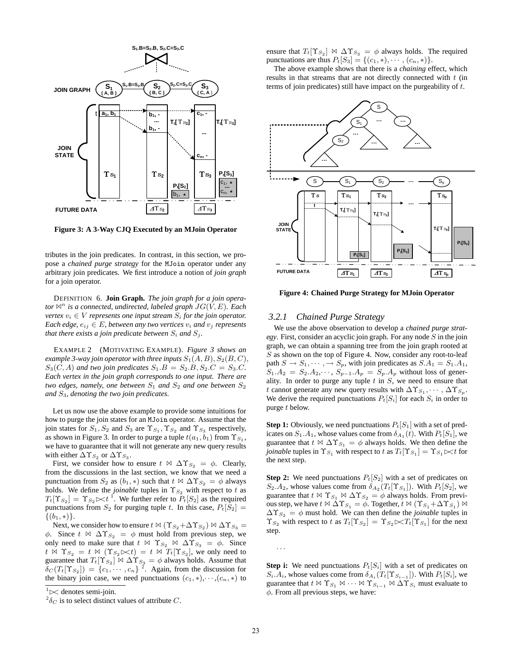

**Figure 3: A 3-Way CJQ Executed by an MJoin Operator**

tributes in the join predicates. In contrast, in this section, we propose a *chained purge strategy* for the MJoin operator under any arbitrary join predicates. We first introduce a notion of *join graph* for a join operator.

DEFINITION 6. **Join Graph.** *The join graph for a join operator*  $\mathbb{N}^n$  *is a connected, undirected, labeled graph*  $JG(V, E)$ *. Each vertex*  $v_i \in V$  *represents one input stream*  $S_i$  *for the join operator. Each edge,*  $e_{ij} \in E$ *, between any two vertices*  $v_i$  *and*  $v_j$  *represents that there exists a join predicate between*  $S_i$  *and*  $S_j$ *.* 

EXAMPLE 2 (MOTIVATING EXAMPLE). *Figure 3 shows an example 3-way join operator with three inputs*  $S_1(A, B)$ ,  $S_2(B, C)$ ,  $S_3(C, A)$  *and two join predicates*  $S_1.B = S_2.B, S_2.C = S_3.C$ . *Each vertex in the join graph corresponds to one input. There are two edges, namely, one between*  $S_1$  *and*  $S_2$  *and one between*  $S_2$ *and* S3*, denoting the two join predicates.*

Let us now use the above example to provide some intuitions for how to purge the join states for an MJoin operator. Assume that the join states for  $S_1, S_2$  and  $S_3$  are  $\Upsilon_{S_1}, \Upsilon_{S_2}$  and  $\Upsilon_{S_3}$  respectively, as shown in Figure 3. In order to purge a tuple  $t(a_1, b_1)$  from  $\Upsilon_{S_1}$ , we have to guarantee that it will not generate any new query results with either  $\Delta \Upsilon_{S_2}$  or  $\Delta \Upsilon_{S_3}$ .

First, we consider how to ensure  $t \Join \Delta \Upsilon_{S_2} = \phi$ . Clearly, from the discussions in the last section, we know that we need a punctuation from  $S_2$  as  $(b_1, *)$  such that  $t \bowtie \Delta \Upsilon_{S_2} = \phi$  always holds. We define the *joinable* tuples in  $\Upsilon_{S_2}$  with respect to t as  $T_t[\Upsilon_{S_2}] = \Upsilon_{S_2} \Join t^{-1}$ . We further refer to  $P_t[S_2]$  as the required punctuations from  $S_2$  for purging tuple t. In this case,  $P_t[S_2] =$  $\{(b_1, *)\}.$ 

Next, we consider how to ensure  $t \bowtie (\Upsilon_{S_2} + \Delta \Upsilon_{S_2}) \bowtie \Delta \Upsilon_{S_3} =$ φ. Since  $t \bowtie \Delta \Upsilon_{S_2} = \phi$  must hold from previous step, we only need to make sure that  $t \Join \Upsilon_{S_2} \Join \Delta \Upsilon_{S_3} = \phi$ . Since  $t \Join \Upsilon_{S_2} = t \Join (\Upsilon_{S_2} \Join t) = t \Join T_t[\Upsilon_{S_2}],$  we only need to guarantee that  $T_t[\Upsilon_{S_2}] \bowtie \Delta \Upsilon_{S_3} = \phi$  always holds. Assume that  $\delta_C(T_t[\Upsilon_{S_2}]) = \{c_1, \dots, c_n\}^2$ . Again, from the discussion for the binary join case, we need punctuations  $(c_1, *), \dots, (c_n, *)$  to ensure that  $T_t[\Upsilon_{S_2}] \bowtie \Delta \Upsilon_{S_3} = \phi$  always holds. The required punctuations are thus  $P_t[S_3] = \{(c_1, *), \dots, (c_n, *)\}.$ 

The above example shows that there is a *chaining* effect, which results in that streams that are not directly connected with  $t$  (in terms of join predicates) still have impact on the purgeability of t.



**Figure 4: Chained Purge Strategy for MJoin Operator**

#### *3.2.1 Chained Purge Strategy*

We use the above observation to develop a *chained purge strategy*. First, consider an acyclic join graph. For any node S in the join graph, we can obtain a spanning tree from the join graph rooted at S as shown on the top of Figure 4. Now, consider any root-to-leaf path  $S \to S_1, \dots, \to S_p$ , with join predicates as  $S.A_1 = S_1.A_1$ ,  $S_1.A_2 = S_2.A_2, \dots, S_{p-1}.A_p = S_p.A_p$  without loss of generality. In order to purge any tuple  $t$  in  $S$ , we need to ensure that t cannot generate any new query results with  $\Delta \Upsilon_{S_1}, \cdots, \Delta \Upsilon_{S_n}$ . We derive the required punctuations  $P_t[S_i]$  for each  $S_i$  in order to purge t below.

**Step 1:** Obviously, we need punctuations  $P_t[S_1]$  with a set of predicates on  $S_1.A_1$ , whose values come from  $\delta_{A_1}(t)$ . With  $P_t[S_1]$ , we guarantee that  $t \bowtie \Delta \Upsilon_{S_1} = \phi$  always holds. We then define the *joinable* tuples in  $\Upsilon_{S_1}$  with respect to t as  $T_t[\Upsilon_{S_1}] = \Upsilon_{S_1} \times t$  for the next step.

**Step 2:** We need punctuations  $P_t[S_2]$  with a set of predicates on  $S_2.A_2$ , whose values come from  $\delta_{A_2}(T_t[\Upsilon_{S_1}])$ . With  $P_t[S_2]$ , we guarantee that  $t \bowtie \Upsilon_{S_1} \bowtie \Delta \Upsilon_{S_2} = \phi$  always holds. From previous step, we have  $t \bowtie \Delta \Upsilon_{S_1} = \phi$ . Together,  $t \bowtie (\Upsilon_{S_1} + \Delta \Upsilon_{S_1}) \bowtie$  $\Delta \Upsilon_{S_2} = \phi$  must hold. We can then define the *joinable* tuples in  $\Upsilon_{S_2}$  with respect to t as  $T_t[\Upsilon_{S_2}] = \Upsilon_{S_2} \Join T_t[\Upsilon_{S_1}]$  for the next step.

**Step i:** We need punctuations  $P_t[S_i]$  with a set of predicates on  $S_i.A_i$ , whose values come from  $\delta_{A_i}(T_t[\Upsilon_{S_{i-1}}])$ . With  $P_t[S_i]$ , we guarantee that  $t \bowtie \Upsilon_{S_1} \bowtie \cdots \bowtie \Upsilon_{S_{i-1}} \bowtie \Delta \Upsilon_{S_i}$  must evaluate to  $\phi$ . From all previous steps, we have:

···

<sup>&</sup>lt;sup>1</sup>  $\approx$  denotes semi-join.

 $^{2}\delta_{C}$  is to select distinct values of attribute C.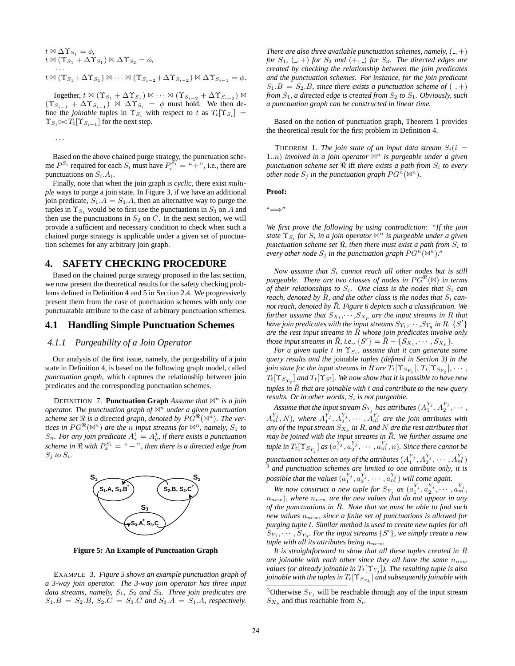$$
t \bowtie \Delta \Upsilon_{S_1} = \phi,
$$
  
\n
$$
t \bowtie (\Upsilon_{S_1} + \Delta \Upsilon_{S_1}) \bowtie \Delta \Upsilon_{S_2} = \phi,
$$
  
\n...  
\n
$$
t \bowtie (\Upsilon_{S_1} + \Delta \Upsilon_{S_1}) \bowtie \cdots \bowtie (\Upsilon_{S_{i-2}} + \Delta \Upsilon_{S_{i-2}}) \bowtie \Delta \Upsilon_{S_{i-1}} = \phi.
$$

Together,  $t \bowtie (\Upsilon_{S_1} + \Delta \Upsilon_{S_1}) \bowtie \cdots \bowtie (\Upsilon_{S_{i-2}} + \Delta \Upsilon_{S_{i-2}}) \bowtie$  $(\Upsilon_{S_{i-1}} + \Delta \Upsilon_{S_{i-1}}) \bowtie \Delta \Upsilon_{S_i} = \phi$  must hold. We then define the *joinable* tuples in  $\Upsilon_{S_i}$  with respect to t as  $T_t[\Upsilon_{S_i}]$  =  $\Upsilon_{S_i} \in \mathcal{F}_t[\Upsilon_{S_{i-1}}]$  for the next step.

Based on the above chained purge strategy, the punctuation scheme  $P^{S_i}$  required for each  $S_i$  must have  $P_i^{\overline{S_i}} = " +",$  i.e., there are punctuations on  $S_i.A_i$ .

···

Finally, note that when the join graph is *cyclic*, there exist *multiple* ways to purge a join state. In Figure 3, if we have an additional join predicate,  $S_1.A = S_3.A$ , then an alternative way to purge the tuples in  $\Upsilon_{S_1}$  would be to first use the punctuations in  $S_3$  on A and then use the punctuations in  $S_2$  on  $C$ . In the next section, we will provide a sufficient and necessary condition to check when such a chained purge strategy is applicable under a given set of punctuation schemes for any arbitrary join graph.

# **4. SAFETY CHECKING PROCEDURE**

Based on the chained purge strategy proposed in the last section, we now present the theoretical results for the safety checking problems defined in Definition 4 and 5 in Section 2.4. We progressively present them from the case of punctuation schemes with only one punctuatable attribute to the case of arbitrary punctuation schemes.

#### **4.1 Handling Simple Punctuation Schemes**

#### *4.1.1 Purgeability of a Join Operator*

Our analysis of the first issue, namely, the purgeability of a join state in Definition 4, is based on the following graph model, called *punctuation graph*, which captures the relationship between join predicates and the corresponding punctuation schemes.

DEFINITION 7. **Punctuation Graph** *Assume that*  $\mathbb{N}^n$  *is a join operator. The punctuation graph of*  $\mathbb{N}^n$  *under a given punctuation* scheme set  $\Re$  is a directed graph, denoted by  $PG^{\Re}(\bowtie^n)$ . The ver*tices in*  $PG^{\Re}(\mathbb{M}^n)$  are the *n input streams for*  $\mathbb{M}^n$ *, namely,*  $S_1$  *to*  $S_n$ . For any join predicate  $A_x^i = A_y^j$ , if there exists a punctuation *scheme in*  $\Re$  *with*  $P_r^{S_i} = " + "$ *, then there is a directed edge from*  $S_i$  *to*  $S_i$ *.* 



**Figure 5: An Example of Punctuation Graph**

EXAMPLE 3. *Figure 5 shows an example punctuation graph of a 3-way join operator. The 3-way join operator has three input data streams, namely,*  $S_1$ ,  $S_2$  *and*  $S_3$ *. Three join predicates are*  $S_1.B = S_2.B, S_2.C = S_3.C \text{ and } S_3.A = S_1.A, \text{ respectively.}$ 

*There are also three available punctuation schemes, namely,*  $(-, +)$ *for*  $S_1$ ,  $(.,+)$  *for*  $S_2$  *and*  $(+,.)$  *for*  $S_3$ *. The directed edges are created by checking the relationship between the join predicates and the punctuation schemes. For instance, for the join predicate*  $S_1.B = S_2.B$ , since there exists a punctuation scheme of  $(0, +)$ *from*  $S_1$ , a directed edge is created from  $S_2$  to  $S_1$ . Obviously, such *a punctuation graph can be constructed in linear time.*

Based on the notion of punctuation graph, Theorem 1 provides the theoretical result for the first problem in Definition 4.

THEOREM 1. *The join state of an input data stream*  $S_i(i =$ 1..*n*) *involved in a join operator*  $\mathbb{A}^n$  *is purgeable under a given punctuation scheme set*  $\Re$  iff *there exists a path from*  $S_i$  *to every other node*  $S_i$  *in the punctuation graph*  $PG^n(\mathbb{N}^n)$ *.* 

**Proof:**

"=⇒"

*We first prove the following by using contradiction: "If the join state*  $\Upsilon_{S_i}$  *for*  $S_i$  *in a join operator*  $\bowtie^n$  *is purgeable under a given punctuation scheme set*  $\Re$ , then there must exist a path from  $S_i$  to *every other node*  $S_i$  *in the punctuation graph*  $PG^n(\mathbb{X}^n)$ *.*"

*Now assume that* S<sup>i</sup> *cannot reach all other nodes but is still purgeable. There are two classes of nodes in*  $PG^{\mathcal{R}}(\mathbb{N})$  *in terms of their relationships to*  $S_i$ *. One class is the nodes that*  $S_i$  *can reach, denoted by R, and the other class is the nodes that*  $S_i$  *cannot reach, denoted by*  $\overline{R}$ *. Figure 6 depicts such a classification. We further assume that*  $S_{X_1}, \cdots, S_{X_p}$  *are the input streams in* R *that* have join predicates with the input streams  $S_{Y_1},\cdots,S_{Y_q}$  in  $\bar{R}$ .  $\{S'\}$ *are the rest input streams in*  $\overline{R}$  *whose join predicates involve only those input streams in*  $\overline{R}$ *, i.e.,*  $\{S'\} = \overline{R} - \{S_{X_1}, \cdots, S_{X_p}\}.$ 

*For a given tuple t in*  $\Upsilon_{S_i}$ *, assume that it can generate some query results and the* joinable *tuples (defined in Section 3) in the join state for the input streams in*  $\bar{R}$  *are*  $T_t[T_{S_{Y_1}}], T_t[T_{S_{Y_2}}], \cdots$ ,  $T_t[\Upsilon_{S_{Y_q}}]$  and  $T_t[\Upsilon_{S'}]$ . We now show that it is possible to have new *tuples in*  $\overline{R}$  *that are joinable with*  $t$  *and contribute to the new query results. Or in other words,*  $S_i$  *is not purgeable.* 

Assume that the input stream  $S_{Y_j}$  has attributes  $(A_1^{Y_j},A_2^{Y_j},\cdots,$  $A_m^{Y_j}, N$ ), where  $A_1^{Y_j}, A_2^{Y_j}, \cdots, A_m^{Y_j}$  are the join attributes with *any of the input stream*  $S_{X_k}$  *in R, and N are the rest attributes that may be joined with the input streams in* R¯*. We further assume one tuple in*  $T_t[\Upsilon_{S_{Y_j}}]$  *as*  $(a_1^{Y_j}, a_2^{Y_j}, \cdots, a_m^{Y_j}, n)$ *. Since there cannot be* punctuation schemes on any of the attributes  $(A_1^{Y_j},A_2^{Y_j},\cdots,A_m^{Y_j}$ punctuation schemes on any of the attributes  $(A_1^{i_1}, A_2^{i_2}, \cdots, A_m^{i_m})$ <sup>3</sup> and punctuation schemes are limited to one attribute only, it is possible that the values  $(a_1^{Y_j}, a_2^{Y_j}, \cdots, a_m^{Y_j})$  will come again.

We now construct a new tuple for  $S_{Y_j}$  as  $(a_1^{Y_j}, a_2^{Y_j}, \cdots, a_m^{Y_j})$  $n_{new}$ ), where  $n_{new}$  are the new values that do not appear in any *of the punctuations in R. Note that we must be able to find such new values*  $n_{new}$ , since a finite set of punctuations is allowed for *purging tuple* t*. Similar method is used to create new tuples for all*  $S_{Y_1}, \cdots, S_{Y_q}$ . For the input streams  $\{S'\}$ , we simply create a new *tuple with all its attributes being*  $n_{new}$ .

*It is straightforward to show that all these tuples created in*  $\overline{R}$ *are joinable with each other since they all have the same*  $n_{new}$ *values (or already joinable in*  $T_t[T_{Y_i}]$ *). The resulting tuple is also joinable with the tuples in*  $T_t[T_{S_{x_k}}]$  *and subsequently joinable with* 

<sup>&</sup>lt;sup>3</sup>Otherwise  $S_{Y_j}$  will be reachable through any of the input stream  $S_{X_k}$  and thus reachable from  $S_i$ .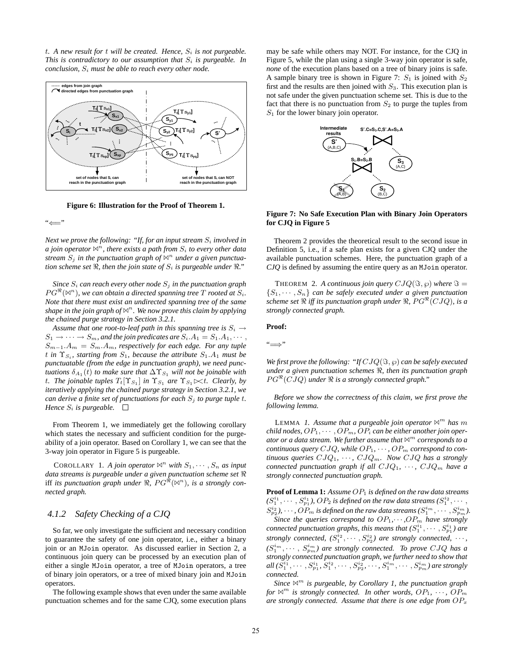$t.$  A new result for  $t$  will be created. Hence,  $S_i$  is not purgeable. *This is contradictory to our assumption that*  $S_i$  *is purgeable. In conclusion,* S<sup>i</sup> *must be able to reach every other node.*



**Figure 6: Illustration for the Proof of Theorem 1.**

"⇐="

*Next we prove the following: "If, for an input stream*  $S_i$  *involved in a join operator*  $\mathbb{N}^n$ , there exists a path from  $S_i$  to every other data stream  $S_i$  in the punctuation graph of  $\mathbb{N}^n$  under a given punctua*tion scheme set*  $\Re$ , then the join state of  $S_i$  is purgeable under  $\Re$ ."

*Since*  $S_i$  *can reach every other node*  $S_i$  *in the punctuation graph*  $PG^{\Re}(\mathbb{M}^n)$ , we can obtain a directed spanning tree  $T$  rooted at  $S_i$ . *Note that there must exist an undirected spanning tree of the same shape in the join graph of*  $\mathbb{N}^n$ *. We now prove this claim by applying the chained purge strategy in Section 3.2.1.*

*Assume that one root-to-leaf path in this spanning tree is*  $S_i \rightarrow$  $S_1 \rightarrow \cdots \rightarrow S_m$ , and the join predicates are  $S_i.A_1 = S_1.A_1, \cdots$ , S<sup>m</sup>−<sup>1</sup>.A<sup>m</sup> = Sm.Am*, respectively for each edge. For any tuple* t in  $\Upsilon_{S_i}$ , starting from  $S_1$ , because the attribute  $S_1.A_1$  must be *punctuatable (from the edge in punctuation graph), we need punctuations*  $\delta_{A_1}(t)$  *to make sure that*  $\Delta \Upsilon_{S_1}$  *will not be joinable with t.* The joinable tuples  $T_t[T_{S_1}]$  in  $\Upsilon_{S_1}$  are  $\Upsilon_{S_1} \ltimes t$ . Clearly, by *iteratively applying the chained purge strategy in Section 3.2.1, we can derive a finite set of punctuations for each*  $S_i$  *to purge tuple t. Hence*  $S_i$  *is purgeable.*  $\Box$ 

From Theorem 1, we immediately get the following corollary which states the necessary and sufficient condition for the purgeability of a join operator. Based on Corollary 1, we can see that the 3-way join operator in Figure 5 is purgeable.

COROLLARY 1. *A join operator*  $\mathbb{A}^n$  *with*  $S_1, \cdots, S_n$  *as input data streams is purgeable under a given punctuation scheme set* iff *its punctuation graph under*  $\Re$ ,  $PG^{\Re}(\mathbb{N}^n)$ , *is a strongly connected graph.*

#### *4.1.2 Safety Checking of a CJQ*

So far, we only investigate the sufficient and necessary condition to guarantee the safety of one join operator, i.e., either a binary join or an MJoin operator. As discussed earlier in Section 2, a continuous join query can be processed by an execution plan of either a single MJoin operator, a tree of MJoin operators, a tree of binary join operators, or a tree of mixed binary join and MJoin operators.

The following example shows that even under the same available punctuation schemes and for the same CJQ, some execution plans may be safe while others may NOT. For instance, for the CJQ in Figure 5, while the plan using a single 3-way join operator is safe, *none* of the execution plans based on a tree of binary joins is safe. A sample binary tree is shown in Figure 7:  $S_1$  is joined with  $S_2$ first and the results are then joined with  $S_3$ . This execution plan is not safe under the given punctuation scheme set. This is due to the fact that there is no punctuation from  $S_2$  to purge the tuples from  $S_1$  for the lower binary join operator.



**Figure 7: No Safe Execution Plan with Binary Join Operators for CJQ in Figure 5**

Theorem 2 provides the theoretical result to the second issue in Definition 5, i.e., if a safe plan exists for a given CJQ under the available punctuation schemes. Here, the punctuation graph of a *CJQ* is defined by assuming the entire query as an MJoin operator.

THEOREM 2. A continuous join query  $CJQ(\Im, \wp)$  where  $\Im =$  $\{S_1, \dots, S_n\}$  can be safely executed under a given punctuation scheme set  $\Re$  iff its punctuation graph under  $\Re$ ,  $PG^{\mathcal{R}}(CJQ)$ , is a *strongly connected graph.*

#### **Proof:**

"=⇒"

*We first prove the following: "If*  $CJQ(\Im, \wp)$  *can be safely executed under a given punctuation schemes*  $\Re$ *, then its punctuation graph*  $PG^{\mathcal{R}}(CJQ)$  under  $\mathcal R$  is a strongly connected graph."

*Before we show the correctness of this claim, we first prove the following lemma.*

LEMMA *1.* Assume that a purgeable join operator  $\mathbb{M}^m$  has m *child nodes,*  $OP_1, \cdots, OP_m, OP_i$  *can be either another join operator or a data stream. We further assume that* ✶<sup>m</sup> *corresponds to a continuous query*  $CJQ$ *, while*  $OP_1$ *, · · · ,*  $OP_m$  *correspond to continuous queries*  $CJQ_1$ ,  $\cdots$ ,  $CJQ_m$ . Now  $CJQ$  has a strongly *connected punctuation graph if all*  $CJQ_1$ ,  $\cdots$ ,  $CJQ_m$  *have a strongly connected punctuation graph.*

**Proof of Lemma 1:** Assume  $OP_1$  is defined on the raw data streams  $(S_1^{i_1}, \cdots, S_{p_1}^{i_1}),$   $OP_2$  is defined on the raw data streams  $(S_1^{i_2}, \cdots,$  $S_{p_2}^{i_2}$  ,  $\cdots$  ,  $OP_m$  is defined on the raw data streams  $(S_1^{i_m},\cdots,S_{p_m}^{i_m}).$ 

*Since the queries correspond to*  $OP_1, \dots, OP_m$  *have strongly connected punctuation graphs, this means that*  $(S_1^{i_1}, \cdots, S_{p_1}^{i_1})$  *are strongly connected,*  $(S_1^{i_2}, \cdots, S_{p_2}^{i_2})$  are strongly connected,  $\cdots$ ,  $(S_1^{i_m}, \cdots, S_{p_m}^{i_m})$  are strongly connected. To prove  $CJQ$  has a *strongly connected punctuation graph, we further need to show that* all  $(\bar{S_1^{i_1}}, \cdots, S_{p_1}^{i_1}, \bar{S_1^{i_2}}, \cdots, S_{p_2}^{i_2}, \cdots, S_{1}^{i_m}, \cdots, S_{p_m}^{i_m})$  are strongly *connected.*

*Since* ✶<sup>m</sup> *is purgeable, by Corollary 1, the punctuation graph for*  $\mathbb{N}^m$  *is strongly connected. In other words,*  $OP_1$ *,*  $\cdots$ *,*  $OP_m$ *are strongly connected. Assume that there is one edge from*  $OP_x$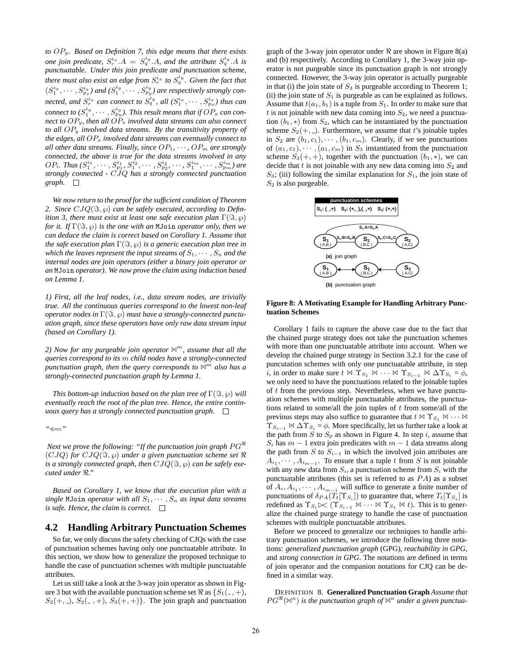*to* OPy*. Based on Definition 7, this edge means that there exists one join predicate,*  $S_r^{i_x}$   $A = S_q^{i_y}$   $A$ *, and the attribute*  $S_q^{i_y}$   $A$  *is punctuatable. Under this join predicate and punctuation scheme, there must also exist an edge from*  $S_r^{i_x}$  to  $S_q^{i_y}$ . Given the fact that  $(S_1^{i_x}, \cdots, S_{p_x}^{i_x})$  and  $(S_1^{i_y}, \cdots, S_{p_y}^{i_y})$  are respectively strongly connected, and  $S_r^{i_x}$  can connect to  $S_q^{i_y}$ , all  $(S_1^{i_x}, \cdots, S_{p_x}^{i_x})$  thus can  $\emph{connect to } (S_1^{i_y}, \cdots, S_{p_y}^{i_y}).$  This result means that if  $OP_x$   $\emph{can con-}$ *nect to*  $OP_y$ *, then all*  $OP_x$  *involved data streams can also connect to all* OP<sup>y</sup> *involved data streams. By the transitivity property of the edges, all*  $OP_x$  *involved data streams can eventually connect to all other data streams. Finally, since*  $OP_1$ ,  $\cdots$ ,  $OP_m$  *are strongly connected, the above is true for the data streams involved in any*  $OP_i$ *. Thus*  $(S_1^{i_1}, \cdots, S_{p_1}^{i_1}, S_1^{i_2}, \cdots, S_{p_2}^{i_2}, \cdots, S_1^{i_m}, \cdots, S_{p_m}^{i_m})$  are *strongly connected -* CJQ *has a strongly connected punctuation graph.*

*We now return to the proof for the sufficient condition of Theorem* 2. Since  $CIQ(\Im, \wp)$  *can be safely executed, according to Definition 3, there must exist at least one safe execution plan*  $\Gamma(\Im, \wp)$ *for it.* If  $\Gamma(\Im, \wp)$  *is the one with an* MJoin *operator only, then we can deduce the claim is correct based on Corollary 1. Assume that the safe execution plan*  $\Gamma(\Im, \varphi)$  *is a generic execution plan tree in which the leaves represent the input streams of*  $S_1, \cdots, S_n$  *and the internal nodes are join operators (either a binary join operator or an* MJoin *operator). We now prove the claim using induction based on Lemma 1.*

*1) First, all the leaf nodes, i.e., data stream nodes, are trivially true. All the continuous queries correspond to the lowest non-leaf operator nodes in*  $\Gamma(\Im, \wp)$  *must have a strongly-connected punctuation graph, since these operators have only raw data stream input (based on Corollary 1).*

*2) Now for any purgeable join operator*  $\mathbb{M}^m$ *, assume that all the queries correspond to its* m *child nodes have a strongly-connected punctuation graph, then the query corresponds to*  $\mathbb{M}^m$  *also has a strongly-connected punctuation graph by Lemma 1.*

*This bottom-up induction based on the plan tree of*  $\Gamma(\Im, \wp)$  *will eventually reach the root of the plan tree. Hence, the entire continuous query has a strongly connected punctuation graph.*

*"*⇐=*"*

*Next we prove the following: "If the punctuation join graph*  $PG^{\mathfrak{m}}$  $(CJQ)$  for  $CJQ(\Im, \varphi)$  under a given punctuation scheme set  $\Re$ *is a strongly connected graph, then*  $CJQ(\Im, \wp)$  *can be safely executed under ."*

*Based on Corollary 1, we know that the execution plan with a single* MJoin *operator with all*  $S_1, \cdots, S_n$  *as input data streams is safe. Hence, the claim is correct.*

#### **4.2 Handling Arbitrary Punctuation Schemes**

So far, we only discuss the safety checking of CJQs with the case of punctuation schemes having only one punctuatable attribute. In this section, we show how to generalize the proposed technique to handle the case of punctuation schemes with multiple punctuatable attributes.

Let us still take a look at the 3-way join operator as shown in Figure 3 but with the available punctuation scheme set  $\Re$  as  $\{S_1(\cdot, +),\}$  $S_2(+, -), S_2(-, +), S_3(+, +)\}$ . The join graph and punctuation graph of the 3-way join operator under  $\Re$  are shown in Figure 8(a) and (b) respectively. According to Corollary 1, the 3-way join operator is not purgeable since its punctuation graph is not strongly connected. However, the 3-way join operator is actually purgeable in that (i) the join state of  $S_3$  is purgeable according to Theorem 1; (ii) the join state of  $S_1$  is purgeable as can be explained as follows. Assume that  $t(a_1, b_1)$  is a tuple from  $S_1$ . In order to make sure that t is not joinable with new data coming into  $S_2$ , we need a punctuation  $(b_1, *)$  from  $S_2$ , which can be instantiated by the punctuation scheme  $S_2(+, -)$ . Furthermore, we assume that t's joinable tuples in  $S_2$  are  $(b_1, c_1), \cdots, (b_1, c_m)$ . Clearly, if we see punctuations of  $(a_1, c_1), \cdots, (a_1, c_m)$  in  $S_3$  instantiated from the punctuation scheme  $S_3(+, +)$ , together with the punctuation  $(b_1, *),$  we can decide that t is not joinable with any new data coming into  $S_2$  and  $S_3$ ; (iii) following the similar explanation for  $S_1$ , the join state of  $S_2$  is also purgeable.



**Figure 8: A Motivating Example for Handling Arbitrary Punctuation Schemes**

Corollary 1 fails to capture the above case due to the fact that the chained purge strategy does not take the punctuation schemes with more than one punctuatable attribute into account. When we develop the chained purge strategy in Section 3.2.1 for the case of puncutation schemes with only one punctuatable attribute, in step *i*, in order to make sure  $t \bowtie \Upsilon_{S_1} \bowtie \cdots \bowtie \Upsilon_{S_{i-1}} \bowtie \Delta \Upsilon_{S_i} = \phi$ , we only need to have the punctuations related to the joinable tuples of t from the previous step. Nevertheless, when we have punctuation schemes with multiple punctuatable attributes, the punctuations related to some/all the join tuples of  $t$  from some/all of the previous steps may also suffice to guarantee that  $t \bowtie \Upsilon_{S_1} \bowtie \cdots \bowtie$  $\Upsilon_{S_{i-1}} \bowtie \Delta \Upsilon_{S_i} = \phi$ . More specifically, let us further take a look at the path from S to  $S_p$  as shown in Figure 4. In step i, assume that  $S_i$  has  $m - 1$  extra join predicates with  $m - 1$  data streams along the path from S to  $S_{i-1}$  in which the involved join attributes are  $A_{i_1}, \cdots, A_{i_{m-1}}$ . To ensure that a tuple t from S is not joinable with any new data from  $S_i$ , a punctuation scheme from  $S_i$  with the punctuatable attributes (this set is referred to as  $PA$ ) as a subset of  $A_i, A_{i_1}, \cdots, A_{i_{m-1}}$  will suffice to generate a finite number of punctuations of  $\delta_{PA}(T_t|\Upsilon_{S_i})$  to guarantee that, where  $T_t[\Upsilon_{S_i}]$  is redefined as  $\Upsilon_{S_i} \Join (\Upsilon_{S_{i-1}} \Join \cdots \Join \Upsilon_{S_1} \Join t)$ . This is to generalize the chained purge strategy to handle the case of punctuation schemes with multiple punctuatable attributes.

Before we proceed to generalize our techniques to handle arbitrary punctuation schemes, we introduce the following three notations: *generalized punctuation graph* (GPG), *reachability in GPG*, and *strong connection in GPG*. The notations are defined in terms of join operator and the companion notations for CJQ can be defined in a similar way.

DEFINITION 8. **Generalized Punctuation Graph** *Assume that*  $PG^{\Re}(\mathbb{M}^n)$  is the punctuation graph of  $\mathbb{M}^n$  under a given punctua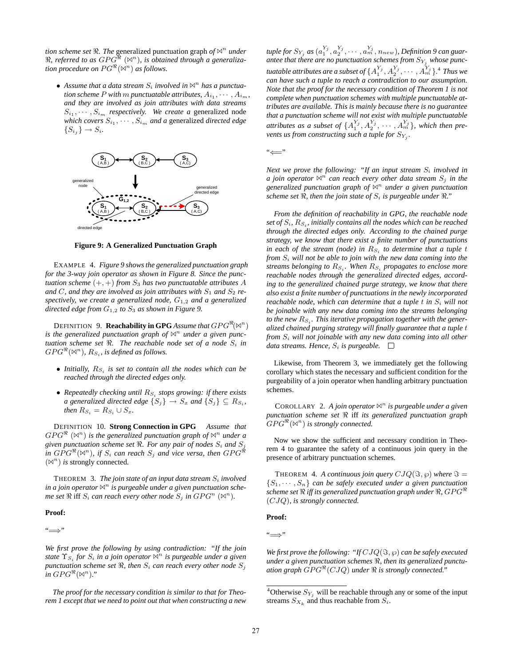*tion scheme set*  $\Re$ . *The* generalized punctuation graph *of*  $\Join$ <sup>*n</sup> under*</sup>  $\Re$ , referred to as  $GPG^{\Re}$  ( $\bowtie$ <sup>n</sup>), is obtained through a generaliza*tion procedure on*  $PG^{\Re}(\mathbb{M}^n)$  *as follows.* 

• Assume that a data stream  $S_i$  involved in  $\mathbb{N}^n$  has a punctua*tion scheme* P with m punctuatable attributes,  $A_{i_1}, \cdots, A_{i_m}$ , *and they are involved as join attributes with data streams*  $S_{i_1}, \cdots, S_{i_m}$  *respectively. We create a* generalized node *which covers*  $S_{i_1}, \cdots, S_{i_m}$  *and a* generalized *directed edge*  ${S_i} \rightarrow S_i$ .



**Figure 9: A Generalized Punctuation Graph**

EXAMPLE 4. *Figure 9 shows the generalized punctuation graph for the 3-way join operator as shown in Figure 8. Since the punctuation scheme*  $(+, +)$  *from*  $S_3$  *has two punctuatable attributes* A and C, and they are involved as join attributes with  $S_1$  and  $S_2$  re*spectively, we create a generalized node,* G<sup>1</sup>,<sup>2</sup> *and a generalized directed edge from* G<sup>1</sup>,<sup>2</sup> *to* S<sup>3</sup> *as shown in Figure 9.*

DEFINITION 9. **Reachability in GPG** Assume that  $GPG^{\Re}(\bowtie^n)$ is the generalized punctuation graph of  $\mathbb{N}^n$  under a given punc*tuation scheme set*  $\Re$ . The reachable node set of a node  $S_i$  in  $GPG^{\Re}(\bowtie^n)$ ,  $R_{S_i}$ , is defined as follows.

- *Initially,*  $R_{S_i}$  *is set to contain all the nodes which can be reached through the directed edges only.*
- *Repeatedly checking until*  $R_{S_i}$  *stops growing: if there exists a* generalized directed edge  $\{S_j\} \rightarrow S_x$  and  $\{S_j\} \subseteq R_{S_i}$ , *then*  $R_{S_i} = R_{S_i} \cup S_x$ *.*

DEFINITION 10. **Strong Connection in GPG** *Assume that*  $GPG^{\Re}$   $(\Join^n)$  is the generalized punctuation graph of  $\Join^n$  under a *given punctuation scheme set*  $\Re$ . For any pair of nodes  $S_i$  and  $S_j$ in  $GPG^{\Re}(\Join^n)$ , if  $S_i$  can reach  $S_j$  and vice versa, then  $GPG^{\Re}$  $(\mathbb{N}^n)$  *is* strongly connected.

THEOREM 3. *The join state of an input data stream* S<sup>i</sup> *involved* in a join operator  $A^n$  is purgeable under a given punctuation sche*me set*  $\Re$  iff  $S_i$  *can reach every other node*  $S_j$  *in*  $GPG^n$  ( $\aleph^n$ )*.* 

#### **Proof:**

"=⇒"

*We first prove the following by using contradiction: "If the join state*  $\Upsilon_{S_i}$  *for*  $S_i$  *in a join operator*  $\bowtie^n$  *is purgeable under a given punctuation scheme set*  $\Re$ , then  $S_i$  *can reach every other node*  $S_i$ in  $GPG^{\Re}(\bowtie^n)$ ."

*The proof for the necessary condition is similar to that for Theorem 1 except that we need to point out that when constructing a new*

 $\mathit{tuple}\$  for  $S_{Y_j}$  as  $(a_1^{Y_j}, a_2^{Y_j}, \cdots, a_m^{Y_j}, n_{new})$ , Definition 9 can guarantee that there are no punctuation schemes from  $S_{Y_j}$  whose punctuatable attributes are a subset of  $\{A^{Y_j}_1, A^{Y_j}_2, \cdots, A^{Y_j}_m\}$ .<sup>4</sup> Thus we *can have such a tuple to reach a contradiction to our assumption. Note that the proof for the necessary condition of Theorem 1 is not complete when punctuation schemes with multiple punctuatable attributes are available. This is mainly because there is no guarantee that a punctuation scheme will not exist with multiple punctuatable attributes as a subset of*  $\{A_1^{Y_j}, A_2^{Y_j}, \cdots, A_m^{Y_j}\}$ *, which then prevents us from constructing such a tuple for*  $S_{Y_j}$ *.* 

"⇐="

*Next we prove the following: "If an input stream*  $S_i$  *involved in a join operator*  $\mathbb{N}^n$  *can reach every other data stream*  $S_i$  *in the generalized punctuation graph of* ✶<sup>n</sup> *under a given punctuation scheme set*  $\Re$ , then the join state of  $S_i$  is purgeable under  $\Re$ ."

*From the definition of reachability in GPG, the reachable node set of*  $S_i$ ,  $R_{S_i}$ , *initially contains all the nodes which can be reached through the directed edges only. According to the chained purge strategy, we know that there exist a finite number of punctuations in each of the stream (node) in*  $R_{S_i}$  *to determine that a tuple t from*  $S_i$  will not be able to join with the new data coming into the *streams belonging to*  $R_{S_i}$ . When  $R_{S_i}$  propagates to enclose more *reachable nodes through the generalized directed edges, according to the generalized chained purge strategy, we know that there also exist a finite number of punctuations in the newly incorporated reachable node, which can determine that a tuple t in*  $S_i$  *will not be joinable with any new data coming into the streams belonging* to the new  $R_{S_i}$ . This iterative propagation together with the gener*alized chained purging strategy will finally guarantee that a tuple* t  $from S<sub>i</sub>$  will not joinable with any new data coming into all other *data streams. Hence,*  $S_i$  *is purgeable.*  $\square$ 

Likewise, from Theorem 3, we immediately get the following corollary which states the necessary and sufficient condition for the purgeability of a join operator when handling arbitrary punctuation schemes.

COROLLARY 2. A join operator  $\mathbb{N}^n$  is purgeable under a given *punctuation scheme set* iff *its generalized punctuation graph*  $GPG^{\Re}(\mathbb{N}^n)$  is strongly connected.

Now we show the sufficient and necessary condition in Theorem 4 to guarantee the safety of a continuous join query in the presence of arbitrary punctuation schemes.

THEOREM 4. A continuous join query  $CJQ(\Im, \wp)$  where  $\Im =$  $\{S_1, \dots, S_n\}$  can be safely executed under a given punctuation  $s$ cheme set  $\Re$  iff its generalized punctuation graph under  $\Re$ ,  $GPG^{ \Re}$ (CJQ)*, is strongly connected.*

#### **Proof:**

"=⇒"

*We first prove the following: "If*  $CJQ(\Im, \wp)$  *can be safely executed under a given punctuation schemes*  $\Re$ *, then its generalized punctu*ation graph  $GPG^{\mathcal{R}}(CJQ)$  under  $\Re$  is strongly connected."

<sup>&</sup>lt;sup>4</sup>Otherwise  $S_{Y_j}$  will be reachable through any or some of the input streams  $S_{X_k}$  and thus reachable from  $S_i$ .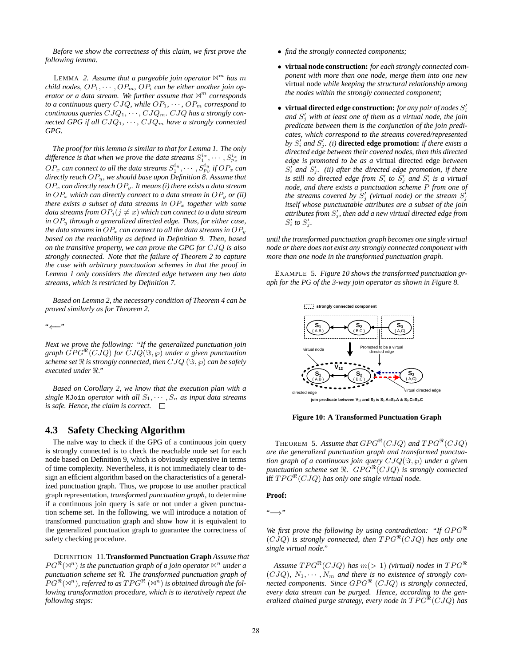*Before we show the correctness of this claim, we first prove the following lemma.*

LEMMA 2. Assume that a purgeable join operator  $\mathbb{M}^m$  has m *child nodes,*  $OP_1, \cdots, OP_m$ ,  $OP_i$  *can be either another join operator or a data stream. We further assume that*  $\mathbb{N}^m$  *corresponds to a continuous query*  $CJQ$ *, while*  $OP_1$ *, ···,*  $OP_m$  *correspond to continuous queries*  $CJQ_1, \cdots, CJQ_m$ .  $CJQ$  *has a strongly connected GPG if all*  $CJQ_1, \cdots, CJQ_m$  *have a strongly connected GPG.*

*The proof for this lemma is similar to that for Lemma 1. The only* difference is that when we prove the data streams  $S_1^{i_x}, \cdots, S_{p_x}^{i_x}$  in  $OP_x$  can connect to all the data streams  $S_1^{i_y}, \cdots, S_{p_y}^{i_y}$  if  $OP_x$  can *directly reach* OPy*, we should base upon Definition 8. Assume that* OP<sup>x</sup> *can directly reach* OPy*. It means (i) there exists a data stream in*  $OP_x$  *which can directly connect to a data stream in*  $OP_y$  *or (ii) there exists a subset of data streams in*  $OP_x$  *together with some data streams from*  $OP_j$  ( $j \neq x$ ) *which can connect to a data stream in* OP<sup>y</sup> *through a generalized directed edge. Thus, for either case, the data streams in*  $OP_x$  *can connect to all the data streams in*  $OP_y$ *based on the reachability as defined in Definition 9. Then, based on the transitive property, we can prove the GPG for* CJQ *is also strongly connected. Note that the failure of Theorem 2 to capture the case with arbitrary punctuation schemes in that the proof in Lemma 1 only considers the directed edge between any two data streams, which is restricted by Definition 7.*

*Based on Lemma 2, the necessary condition of Theorem 4 can be proved similarly as for Theorem 2.*

"⇐="

*Next we prove the following: "If the generalized punctuation join*  $graph\ GPG^{\mathcal{R}}(CJQ)$  *for*  $CJQ(\mathcal{S}, \wp)$  *under a given punctuation scheme set*  $\Re$  *is strongly connected, then*  $CJQ$  ( $\Im$ ,  $\wp$ ) *can be safely executed under ."*

*Based on Corollary 2, we know that the execution plan with a single* MJoin *operator with all*  $S_1, \cdots, S_n$  *as input data streams is safe. Hence, the claim is correct.*

## **4.3 Safety Checking Algorithm**

The naïve way to check if the GPG of a continuous join query is strongly connected is to check the reachable node set for each node based on Definition 9, which is obviously expensive in terms of time complexity. Nevertheless, it is not immediately clear to design an efficient algorithm based on the characteristics of a generalized punctuation graph. Thus, we propose to use another practical graph representation, *transformed punctuation graph*, to determine if a continuous join query is safe or not under a given punctuation scheme set. In the following, we will introduce a notation of transformed punctuation graph and show how it is equivalent to the generalized punctuation graph to guarantee the correctness of safety checking procedure.

DEFINITION 11.**Transformed Punctuation Graph** *Assume that*  $PG^{\Re}(\mathbb{N}^n)$  is the punctuation graph of a join operator  $\mathbb{N}^n$  under a *punctuation scheme set . The transformed punctuation graph of*  $PG^{\Re}(\mathbb{M}^n)$ , referred to as  $TPG^{\Re}$   $(\mathbb{M}^n)$  is obtained through the fol*lowing transformation procedure, which is to iteratively repeat the following steps:*

- *find the strongly connected components;*
- **virtual node construction:** *for each strongly connected component with more than one node, merge them into one new* virtual node *while keeping the structural relationship among the nodes within the strongly connected component;*
- **virtual directed edge construction:** *for any pair of nodes* S i *and* S <sup>j</sup> *with at least one of them as a virtual node, the join predicate between them is the conjunction of the join predicates, which correspond to the streams covered/represented by*  $S_i'$  *and*  $S_j'$ *. (i)* **directed edge promotion:** *if there exists a directed edge between their covered nodes, then this directed edge is promoted to be as a* virtual directed edge *between*  $S_i'$  and  $S_j'$ . *(ii)* after the directed edge promotion, if there is still no directed edge from  $S_i'$  to  $S_j'$  and  $S_i'$  is a virtual *node, and there exists a punctuation scheme* P *from one of* the streams covered by  $S'_{j}$  (virtual node) or the stream  $S'_{j}$ *itself whose punctuatable attributes are a subset of the join attributes from* S <sup>j</sup> *, then add a new virtual directed edge from*  $S_i'$  to  $S_j'$ .

*until the transformed punctuation graph becomes one single virtual node or there does not exist any strongly connected component with more than one node in the transformed punctuation graph.*

EXAMPLE 5. *Figure 10 shows the transformed punctuation graph for the PG of the 3-way join operator as shown in Figure 8.*



**Figure 10: A Transformed Punctuation Graph**

**THEOREM** 5. Assume that  $GPG^{\mathcal{R}}(CJQ)$  and  $TPG^{\mathcal{R}}(CJQ)$ *are the generalized punctuation graph and transformed punctuation graph of a continuous join query*  $CJQ(\Im, \wp)$  *under a given punctuation scheme set*  $\Re$ .  $GPG^{\mathcal{H}}(CJQ)$  *is strongly connected* iff  $TPG^{\mathcal{R}}(CJQ)$  has only one single virtual node.

#### **Proof:**

"=⇒"

*We first prove the following by using contradiction: "If*  $GPG^{\mathcal{H}}$  $(CJQ)$  is strongly connected, then  $TPG^*(CJQ)$  has only one *single virtual node."*

 $A$ ssume  $TPG^{\mathcal{R}}(CJQ)$  has  $m(> 1)$  *(virtual) nodes in*  $TPG^{\mathcal{R}}$  $(CJQ)$ ,  $N_1, \cdots, N_m$  and there is no existence of strongly connected components. Since  $GPG^{\mathcal{H}}$   $(CJQ)$  is strongly connected, *every data stream can be purged. Hence, according to the generalized chained purge strategy, every node in* TPG-(CJQ) *has*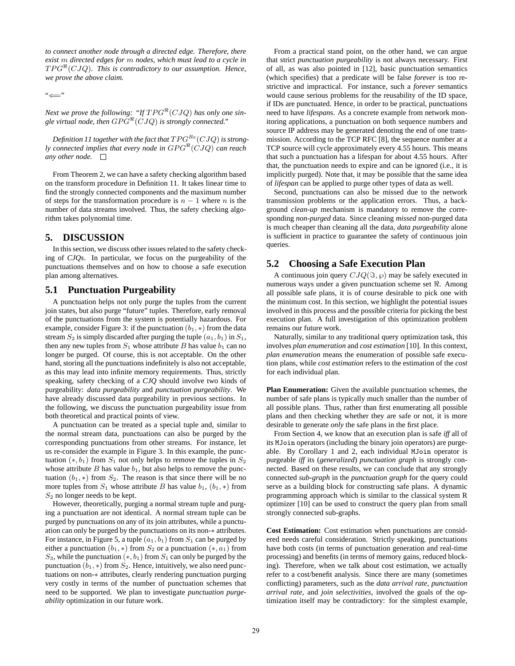*to connect another node through a directed edge. Therefore, there exist* m *directed edges for* m *nodes, which must lead to a cycle in* TPG-(CJQ)*. This is contradictory to our assumption. Hence, we prove the above claim.*

"⇐="

Next we prove the following: "If  $TPG^{\mathcal{R}}(CJQ)$  has only one single virtual node, then  $GPG^{\mathfrak{R}}(CJQ)$  is strongly connected."

Definition 11 together with the fact that  $TPG^{Re}(CJQ)$  is strong*ly connected implies that every node in*  $GPG^{\mathcal{R}}(CJQ)$  *can reach any other node.*

From Theorem 2, we can have a safety checking algorithm based on the transform procedure in Definition 11. It takes linear time to find the strongly connected components and the maximum number of steps for the transformation procedure is  $n - 1$  where n is the number of data streams involved. Thus, the safety checking algorithm takes polynomial time.

# **5. DISCUSSION**

In this section, we discuss other issues related to the safety checking of *CJQs*. In particular, we focus on the purgeability of the punctuations themselves and on how to choose a safe execution plan among alternatives.

## **5.1 Punctuation Purgeability**

A punctuation helps not only purge the tuples from the current join states, but also purge "future" tuples. Therefore, early removal of the punctuations from the system is potentially hazardous. For example, consider Figure 3: if the punctuation  $(b_1, *)$  from the data stream  $S_2$  is simply discarded after purging the tuple  $(a_1, b_1)$  in  $S_1$ , then any new tuples from  $S_1$  whose attribute B has value  $b_1$  can no longer be purged. Of course, this is not acceptable. On the other hand, storing all the punctuations indefinitely is also not acceptable, as this may lead into infinite memory requirements. Thus, strictly speaking, safety checking of a *CJQ* should involve two kinds of purgeability: *data purgeability* and *punctuation purgeability*. We have already discussed data purgeability in previous sections. In the following, we discuss the punctuation purgeability issue from both theoretical and practical points of view.

A punctuation can be treated as a special tuple and, similar to the normal stream data, punctuations can also be purged by the corresponding punctuations from other streams. For instance, let us re-consider the example in Figure 3. In this example, the punctuation  $(*, b_1)$  from  $S_1$  not only helps to remove the tuples in  $S_2$ whose attribute  $B$  has value  $b_1$ , but also helps to remove the punctuation  $(b_1, *)$  from  $S_2$ . The reason is that since there will be no more tuples from  $S_1$  whose attribute B has value  $b_1$ ,  $(b_1, *)$  from  $S_2$  no longer needs to be kept.

However, theoretically, purging a normal stream tuple and purging a punctuation are not identical. A normal stream tuple can be purged by punctuations on any of its join attributes, while a punctuation can only be purged by the punctuations on its non-∗ attributes. For instance, in Figure 5, a tuple  $(a_1, b_1)$  from  $S_1$  can be purged by either a punctuation  $(b_1, *)$  from  $S_2$  or a punctuation  $(*, a_1)$  from  $S_3$ , while the punctuation  $(*, b_1)$  from  $S_1$  can only be purged by the punctuation  $(b_1, *)$  from  $S_2$ . Hence, intuitively, we also need punctuations on non-∗ attributes, clearly rendering punctuation purging very costly in terms of the number of punctuation schemes that need to be supported. We plan to investigate *punctuation purgeability* optimization in our future work.

From a practical stand point, on the other hand, we can argue that strict *punctuation purgeability* is not always necessary. First of all, as was also pointed in [12], basic punctuation semantics (which specifies) that a predicate will be false *forever* is too restrictive and impractical. For instance, such a *forever* semantics would cause serious problems for the reusability of the ID space, if IDs are punctuated. Hence, in order to be practical, punctuations need to have *lifespan*s. As a concrete example from network monitoring applications, a punctuation on both sequence numbers and source IP address may be generated denoting the end of one transmission. According to the TCP RFC [8], the sequence number at a TCP source will cycle approximately every 4.55 hours. This means that such a punctuation has a lifespan for about 4.55 hours. After that, the punctuation needs to expire and can be ignored (i.e., it is implicitly purged). Note that, it may be possible that the same idea of *lifespan* can be applied to purge other types of data as well.

Second, punctuations can also be missed due to the network transmission problems or the application errors. Thus, a background *clean-up* mechanism is mandatory to remove the corresponding *non-purged* data. Since cleaning *missed* non-purged data is much cheaper than cleaning all the data, *data purgeability* alone is sufficient in practice to guarantee the safety of continuous join queries.

# **5.2 Choosing a Safe Execution Plan**

A continuous join query  $CJQ(\Im, \wp)$  may be safely executed in numerous ways under a given punctuation scheme set  $\Re$ . Among all possible safe plans, it is of course desirable to pick one with the minimum cost. In this section, we highlight the potential issues involved in this process and the possible criteria for picking the best execution plan. A full investigation of this optimization problem remains our future work.

Naturally, similar to any traditional query optimization task, this involves *plan enumeration* and *cost estimation* [10]. In this context, *plan enumeration* means the enumeration of possible safe execution plans, while *cost estimation* refers to the estimation of the *cost* for each individual plan.

**Plan Enumeration:** Given the available punctuation schemes, the number of safe plans is typically much smaller than the number of all possible plans. Thus, rather than first enumerating all possible plans and then checking whether they are safe or not, it is more desirable to generate *only* the safe plans in the first place.

From Section 4, we know that an execution plan is safe *iff* all of its MJoin operators (including the binary join operators) are purgeable. By Corollary 1 and 2, each individual MJoin operator is purgeable *iff* its (*generalized*) *punctuation graph* is strongly connected. Based on these results, we can conclude that any strongly connected *sub-graph* in the *punctuation graph* for the query could serve as a building block for constructing safe plans. A dynamic programming approach which is similar to the classical system R optimizer [10] can be used to construct the query plan from small strongly connected sub-graphs.

**Cost Estimation:** Cost estimation when punctuations are considered needs careful consideration. Strictly speaking, punctuations have both costs (in terms of punctuation generation and real-time processing) and benefits (in terms of memory gains, reduced blocking). Therefore, when we talk about cost estimation, we actually refer to a cost/benefit analysis. Since there are many (sometimes conflicting) parameters, such as the *data arrival rate*, *punctuation arrival rate*, and *join selectivities*, involved the goals of the optimization itself may be contradictory: for the simplest example,